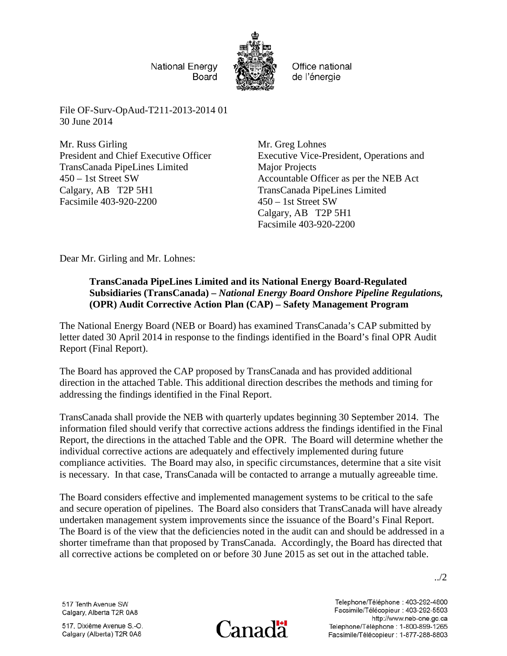National Energy Board



Office national de l'énergie

File OF-Surv-OpAud-T211-2013-2014 01 30 June 2014

Mr. Russ Girling President and Chief Executive Officer TransCanada PipeLines Limited 450 – 1st Street SW Calgary, AB T2P 5H1 Facsimile 403-920-2200

Mr. Greg Lohnes Executive Vice-President, Operations and Major Projects Accountable Officer as per the NEB Act TransCanada PipeLines Limited 450 – 1st Street SW Calgary, AB T2P 5H1 Facsimile 403-920-2200

Dear Mr. Girling and Mr. Lohnes:

## **TransCanada PipeLines Limited and its National Energy Board-Regulated Subsidiaries (TransCanada) –** *National Energy Board Onshore Pipeline Regulations,*  **(OPR) Audit Corrective Action Plan (CAP) – Safety Management Program**

The National Energy Board (NEB or Board) has examined TransCanada's CAP submitted by letter dated 30 April 2014 in response to the findings identified in the Board's final OPR Audit Report (Final Report).

The Board has approved the CAP proposed by TransCanada and has provided additional direction in the attached Table. This additional direction describes the methods and timing for addressing the findings identified in the Final Report.

TransCanada shall provide the NEB with quarterly updates beginning 30 September 2014. The information filed should verify that corrective actions address the findings identified in the Final Report, the directions in the attached Table and the OPR. The Board will determine whether the individual corrective actions are adequately and effectively implemented during future compliance activities. The Board may also, in specific circumstances, determine that a site visit is necessary. In that case, TransCanada will be contacted to arrange a mutually agreeable time.

The Board considers effective and implemented management systems to be critical to the safe and secure operation of pipelines. The Board also considers that TransCanada will have already undertaken management system improvements since the issuance of the Board's Final Report. The Board is of the view that the deficiencies noted in the audit can and should be addressed in a shorter timeframe than that proposed by TransCanada. Accordingly, the Board has directed that all corrective actions be completed on or before 30 June 2015 as set out in the attached table.

../2

517 Tenth Avenue SW Calgary, Alberta T2R 0A8

517, Dixième Avenue S.-O. Calgary (Alberta) T2R 0A8



Telephone/Téléphone: 403-292-4800 Facsimile/Télécopieur : 403-292-5503 http://www.neb-one.gc.ca Telephone/Téléphone : 1-800-899-1265 Facsimile/Télécopieur : 1-877-288-8803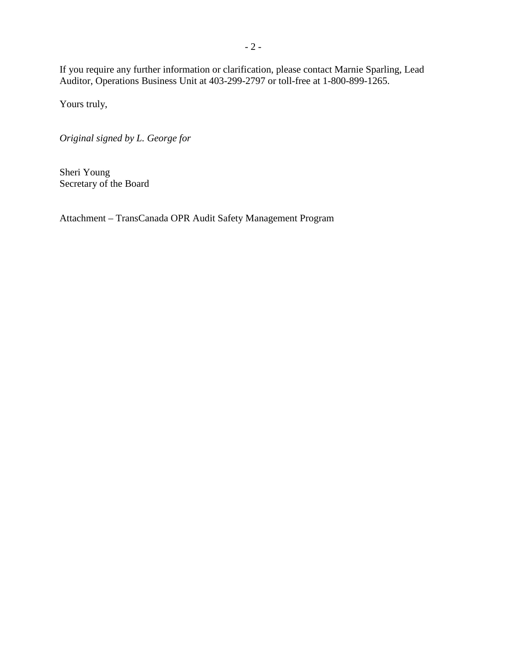If you require any further information or clarification, please contact Marnie Sparling, Lead Auditor, Operations Business Unit at 403-299-2797 or toll-free at 1-800-899-1265.

Yours truly,

*Original signed by L. George for*

Sheri Young Secretary of the Board

Attachment – TransCanada OPR Audit Safety Management Program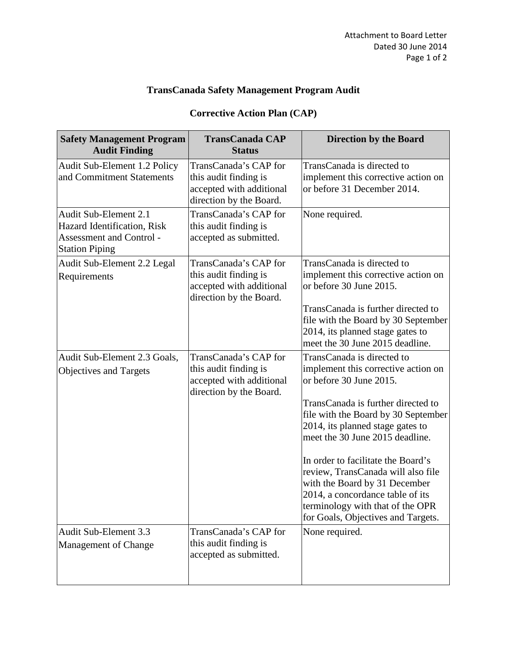## **TransCanada Safety Management Program Audit**

## **Corrective Action Plan (CAP)**

| <b>Safety Management Program</b><br><b>Audit Finding</b>                                                  | <b>TransCanada CAP</b><br><b>Status</b>                                                               | <b>Direction by the Board</b>                                                                                                                                                                                                                                                                                                                                                                                                                                               |
|-----------------------------------------------------------------------------------------------------------|-------------------------------------------------------------------------------------------------------|-----------------------------------------------------------------------------------------------------------------------------------------------------------------------------------------------------------------------------------------------------------------------------------------------------------------------------------------------------------------------------------------------------------------------------------------------------------------------------|
| Audit Sub-Element 1.2 Policy<br>and Commitment Statements                                                 | TransCanada's CAP for<br>this audit finding is<br>accepted with additional<br>direction by the Board. | TransCanada is directed to<br>implement this corrective action on<br>or before 31 December 2014.                                                                                                                                                                                                                                                                                                                                                                            |
| Audit Sub-Element 2.1<br>Hazard Identification, Risk<br>Assessment and Control -<br><b>Station Piping</b> | TransCanada's CAP for<br>this audit finding is<br>accepted as submitted.                              | None required.                                                                                                                                                                                                                                                                                                                                                                                                                                                              |
| Audit Sub-Element 2.2 Legal<br>Requirements                                                               | TransCanada's CAP for<br>this audit finding is<br>accepted with additional<br>direction by the Board. | TransCanada is directed to<br>implement this corrective action on<br>or before 30 June 2015.                                                                                                                                                                                                                                                                                                                                                                                |
|                                                                                                           |                                                                                                       | TransCanada is further directed to<br>file with the Board by 30 September<br>2014, its planned stage gates to<br>meet the 30 June 2015 deadline.                                                                                                                                                                                                                                                                                                                            |
| Audit Sub-Element 2.3 Goals,<br>Objectives and Targets                                                    | TransCanada's CAP for<br>this audit finding is<br>accepted with additional<br>direction by the Board. | TransCanada is directed to<br>implement this corrective action on<br>or before 30 June 2015.<br>TransCanada is further directed to<br>file with the Board by 30 September<br>2014, its planned stage gates to<br>meet the 30 June 2015 deadline.<br>In order to facilitate the Board's<br>review, TransCanada will also file<br>with the Board by 31 December<br>2014, a concordance table of its<br>terminology with that of the OPR<br>for Goals, Objectives and Targets. |
| Audit Sub-Element 3.3<br>Management of Change                                                             | TransCanada's CAP for<br>this audit finding is<br>accepted as submitted.                              | None required.                                                                                                                                                                                                                                                                                                                                                                                                                                                              |